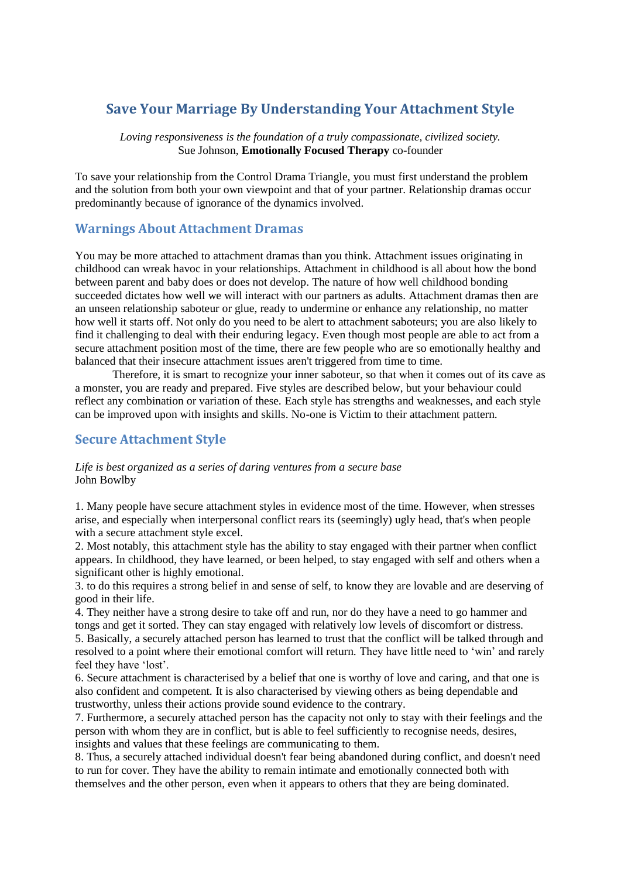# **Save Your Marriage By Understanding Your Attachment Style**

*Loving responsiveness is the foundation of a truly compassionate, civilized society.* [Sue Johnson,](http://www.azquotes.com/author/49538-Sue_Johnson) **Emotionally Focused Therapy** co-founder

To save your relationship from the Control Drama Triangle, you must first understand the problem and the solution from both your own viewpoint and that of your partner. Relationship dramas occur predominantly because of ignorance of the dynamics involved.

## **Warnings About Attachment Dramas**

You may be more attached to attachment dramas than you think. Attachment issues originating in childhood can wreak havoc in your relationships. Attachment in childhood is all about how the bond between parent and baby does or does not develop. The nature of how well childhood bonding succeeded dictates how well we will interact with our partners as adults. Attachment dramas then are an unseen relationship saboteur or glue, ready to undermine or enhance any relationship, no matter how well it starts off. Not only do you need to be alert to attachment saboteurs; you are also likely to find it challenging to deal with their enduring legacy. Even though most people are able to act from a secure attachment position most of the time, there are few people who are so emotionally healthy and balanced that their insecure attachment issues aren't triggered from time to time.

Therefore, it is smart to recognize your inner saboteur, so that when it comes out of its cave as a monster, you are ready and prepared. Five styles are described below, but your behaviour could reflect any combination or variation of these. Each style has strengths and weaknesses, and each style can be improved upon with insights and skills. No-one is Victim to their attachment pattern.

### **Secure Attachment Style**

### *Life is best organized as a series of daring ventures from a secure base* [John Bowlby](http://www.azquotes.com/author/41957-John_Bowlby)

1. Many people have secure attachment styles in evidence most of the time. However, when stresses arise, and especially when interpersonal conflict rears its (seemingly) ugly head, that's when people with a secure attachment style excel.

2. Most notably, this attachment style has the ability to stay engaged with their partner when conflict appears. In childhood, they have learned, or been helped, to stay engaged with self and others when a significant other is highly emotional.

3. to do this requires a strong belief in and sense of self, to know they are lovable and are deserving of good in their life.

4. They neither have a strong desire to take off and run, nor do they have a need to go hammer and tongs and get it sorted. They can stay engaged with relatively low levels of discomfort or distress. 5. Basically, a securely attached person has learned to trust that the conflict will be talked through and resolved to a point where their emotional comfort will return. They have little need to 'win' and rarely feel they have 'lost'.

6. Secure attachment is characterised by a belief that one is worthy of love and caring, and that one is also confident and competent. It is also characterised by viewing others as being dependable and trustworthy, unless their actions provide sound evidence to the contrary.

7. Furthermore, a securely attached person has the capacity not only to stay with their feelings and the person with whom they are in conflict, but is able to feel sufficiently to recognise needs, desires, insights and values that these feelings are communicating to them.

8. Thus, a securely attached individual doesn't fear being abandoned during conflict, and doesn't need to run for cover. They have the ability to remain intimate and emotionally connected both with themselves and the other person, even when it appears to others that they are being dominated.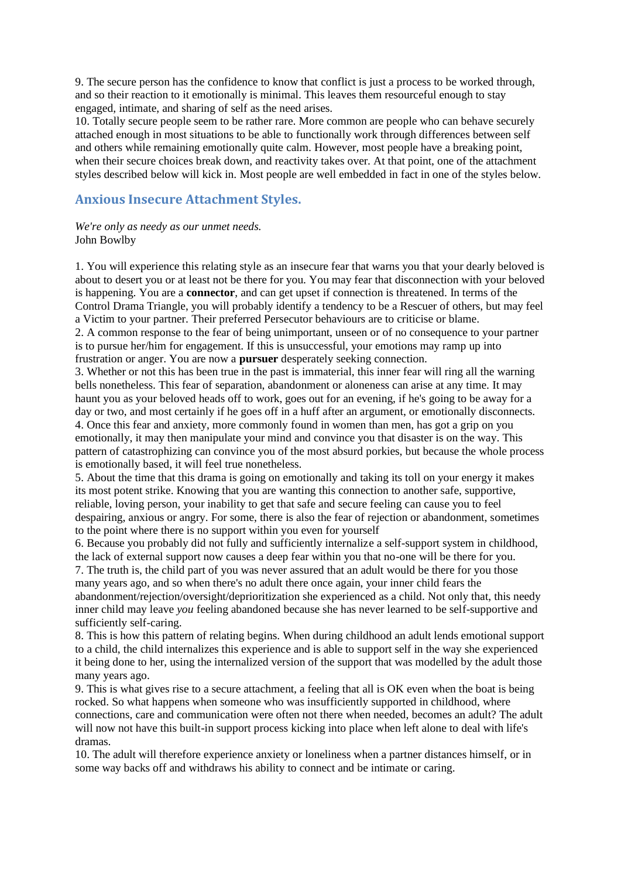9. The secure person has the confidence to know that conflict is just a process to be worked through, and so their reaction to it emotionally is minimal. This leaves them resourceful enough to stay engaged, intimate, and sharing of self as the need arises.

10. Totally secure people seem to be rather rare. More common are people who can behave securely attached enough in most situations to be able to functionally work through differences between self and others while remaining emotionally quite calm. However, most people have a breaking point, when their secure choices break down, and reactivity takes over. At that point, one of the attachment styles described below will kick in. Most people are well embedded in fact in one of the styles below.

### **Anxious Insecure Attachment Styles.**

#### *We're only as needy as our unmet needs.* [John Bowlby](http://www.azquotes.com/author/41957-John_Bowlby)

1. You will experience this relating style as an insecure fear that warns you that your dearly beloved is about to desert you or at least not be there for you. You may fear that disconnection with your beloved is happening. You are a **connector**, and can get upset if connection is threatened. In terms of the Control Drama Triangle, you will probably identify a tendency to be a Rescuer of others, but may feel a Victim to your partner. Their preferred Persecutor behaviours are to criticise or blame.

2. A common response to the fear of being unimportant, unseen or of no consequence to your partner is to pursue her/him for engagement. If this is unsuccessful, your emotions may ramp up into frustration or anger. You are now a **pursuer** desperately seeking connection.

3. Whether or not this has been true in the past is immaterial, this inner fear will ring all the warning bells nonetheless. This fear of separation, abandonment or aloneness can arise at any time. It may haunt you as your beloved heads off to work, goes out for an evening, if he's going to be away for a day or two, and most certainly if he goes off in a huff after an argument, or emotionally disconnects. 4. Once this fear and anxiety, more commonly found in women than men, has got a grip on you emotionally, it may then manipulate your mind and convince you that disaster is on the way. This pattern of catastrophizing can convince you of the most absurd porkies, but because the whole process is emotionally based, it will feel true nonetheless.

5. About the time that this drama is going on emotionally and taking its toll on your energy it makes its most potent strike. Knowing that you are wanting this connection to another safe, supportive, reliable, loving person, your inability to get that safe and secure feeling can cause you to feel despairing, anxious or angry. For some, there is also the fear of rejection or abandonment, sometimes to the point where there is no support within you even for yourself

6. Because you probably did not fully and sufficiently internalize a self-support system in childhood, the lack of external support now causes a deep fear within you that no-one will be there for you.

7. The truth is, the child part of you was never assured that an adult would be there for you those many years ago, and so when there's no adult there once again, your inner child fears the abandonment/rejection/oversight/deprioritization she experienced as a child. Not only that, this needy

inner child may leave *you* feeling abandoned because she has never learned to be self-supportive and sufficiently self-caring.

8. This is how this pattern of relating begins. When during childhood an adult lends emotional support to a child, the child internalizes this experience and is able to support self in the way she experienced it being done to her, using the internalized version of the support that was modelled by the adult those many years ago.

9. This is what gives rise to a secure attachment, a feeling that all is OK even when the boat is being rocked. So what happens when someone who was insufficiently supported in childhood, where connections, care and communication were often not there when needed, becomes an adult? The adult will now not have this built-in support process kicking into place when left alone to deal with life's dramas.

10. The adult will therefore experience anxiety or loneliness when a partner distances himself, or in some way backs off and withdraws his ability to connect and be intimate or caring.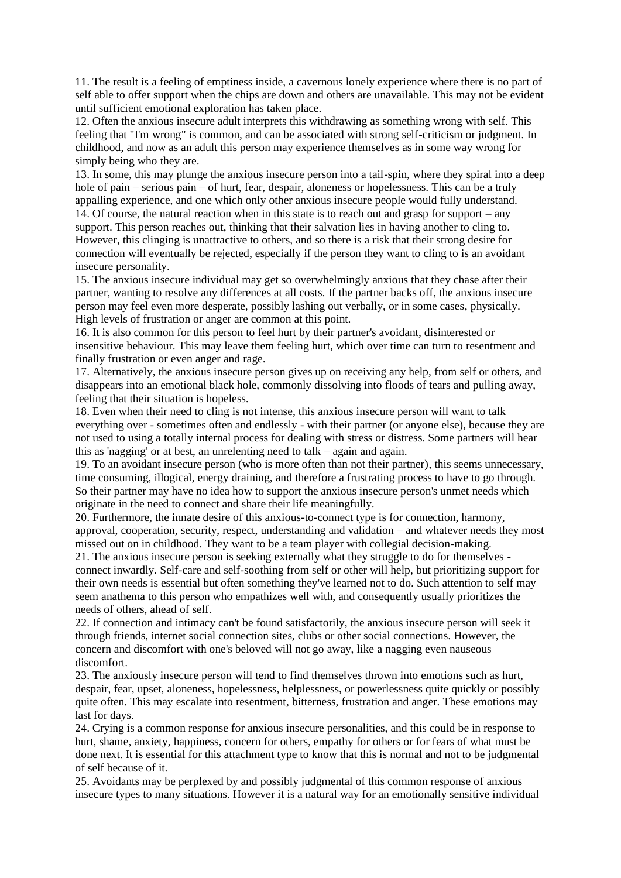11. The result is a feeling of emptiness inside, a cavernous lonely experience where there is no part of self able to offer support when the chips are down and others are unavailable. This may not be evident until sufficient emotional exploration has taken place.

12. Often the anxious insecure adult interprets this withdrawing as something wrong with self. This feeling that "I'm wrong" is common, and can be associated with strong self-criticism or judgment. In childhood, and now as an adult this person may experience themselves as in some way wrong for simply being who they are.

13. In some, this may plunge the anxious insecure person into a tail-spin, where they spiral into a deep hole of pain – serious pain – of hurt, fear, despair, aloneness or hopelessness. This can be a truly appalling experience, and one which only other anxious insecure people would fully understand. 14. Of course, the natural reaction when in this state is to reach out and grasp for support – any support. This person reaches out, thinking that their salvation lies in having another to cling to. However, this clinging is unattractive to others, and so there is a risk that their strong desire for connection will eventually be rejected, especially if the person they want to cling to is an avoidant insecure personality.

15. The anxious insecure individual may get so overwhelmingly anxious that they chase after their partner, wanting to resolve any differences at all costs. If the partner backs off, the anxious insecure person may feel even more desperate, possibly lashing out verbally, or in some cases, physically. High levels of frustration or anger are common at this point.

16. It is also common for this person to feel hurt by their partner's avoidant, disinterested or insensitive behaviour. This may leave them feeling hurt, which over time can turn to resentment and finally frustration or even anger and rage.

17. Alternatively, the anxious insecure person gives up on receiving any help, from self or others, and disappears into an emotional black hole, commonly dissolving into floods of tears and pulling away, feeling that their situation is hopeless.

18. Even when their need to cling is not intense, this anxious insecure person will want to talk everything over - sometimes often and endlessly - with their partner (or anyone else), because they are not used to using a totally internal process for dealing with stress or distress. Some partners will hear this as 'nagging' or at best, an unrelenting need to talk – again and again.

19. To an avoidant insecure person (who is more often than not their partner), this seems unnecessary, time consuming, illogical, energy draining, and therefore a frustrating process to have to go through. So their partner may have no idea how to support the anxious insecure person's unmet needs which originate in the need to connect and share their life meaningfully.

20. Furthermore, the innate desire of this anxious-to-connect type is for connection, harmony, approval, cooperation, security, respect, understanding and validation – and whatever needs they most missed out on in childhood. They want to be a team player with collegial decision-making.

21. The anxious insecure person is seeking externally what they struggle to do for themselves connect inwardly. Self-care and self-soothing from self or other will help, but prioritizing support for their own needs is essential but often something they've learned not to do. Such attention to self may seem anathema to this person who empathizes well with, and consequently usually prioritizes the needs of others, ahead of self.

22. If connection and intimacy can't be found satisfactorily, the anxious insecure person will seek it through friends, internet social connection sites, clubs or other social connections. However, the concern and discomfort with one's beloved will not go away, like a nagging even nauseous discomfort.

23. The anxiously insecure person will tend to find themselves thrown into emotions such as hurt, despair, fear, upset, aloneness, hopelessness, helplessness, or powerlessness quite quickly or possibly quite often. This may escalate into resentment, bitterness, frustration and anger. These emotions may last for days.

24. Crying is a common response for anxious insecure personalities, and this could be in response to hurt, shame, anxiety, happiness, concern for others, empathy for others or for fears of what must be done next. It is essential for this attachment type to know that this is normal and not to be judgmental of self because of it.

25. Avoidants may be perplexed by and possibly judgmental of this common response of anxious insecure types to many situations. However it is a natural way for an emotionally sensitive individual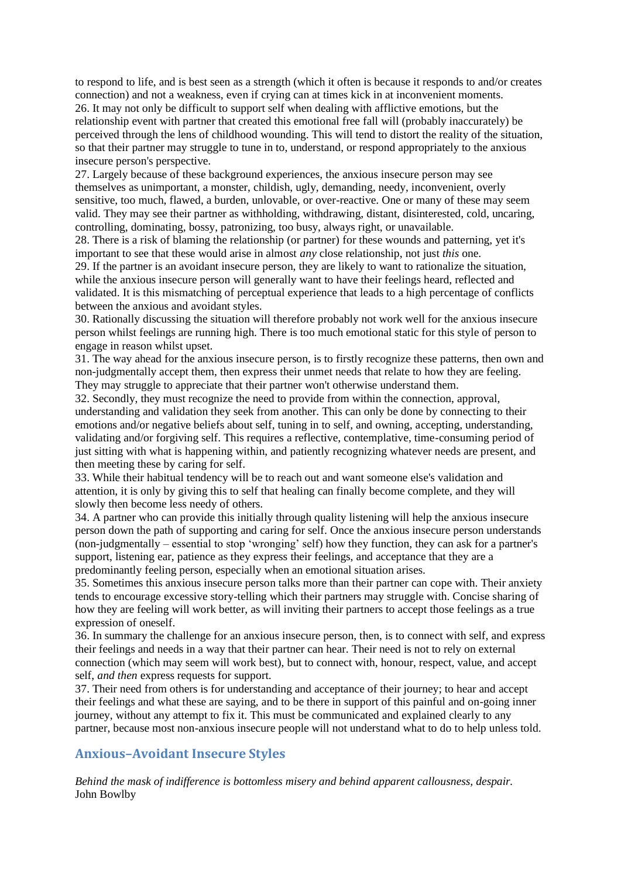to respond to life, and is best seen as a strength (which it often is because it responds to and/or creates connection) and not a weakness, even if crying can at times kick in at inconvenient moments. 26. It may not only be difficult to support self when dealing with afflictive emotions, but the relationship event with partner that created this emotional free fall will (probably inaccurately) be perceived through the lens of childhood wounding. This will tend to distort the reality of the situation, so that their partner may struggle to tune in to, understand, or respond appropriately to the anxious insecure person's perspective.

27. Largely because of these background experiences, the anxious insecure person may see themselves as unimportant, a monster, childish, ugly, demanding, needy, inconvenient, overly sensitive, too much, flawed, a burden, unlovable, or over-reactive. One or many of these may seem valid. They may see their partner as withholding, withdrawing, distant, disinterested, cold, uncaring, controlling, dominating, bossy, patronizing, too busy, always right, or unavailable.

28. There is a risk of blaming the relationship (or partner) for these wounds and patterning, yet it's important to see that these would arise in almost *any* close relationship, not just *this* one.

29. If the partner is an avoidant insecure person, they are likely to want to rationalize the situation, while the anxious insecure person will generally want to have their feelings heard, reflected and validated. It is this mismatching of perceptual experience that leads to a high percentage of conflicts between the anxious and avoidant styles.

30. Rationally discussing the situation will therefore probably not work well for the anxious insecure person whilst feelings are running high. There is too much emotional static for this style of person to engage in reason whilst upset.

31. The way ahead for the anxious insecure person, is to firstly recognize these patterns, then own and non-judgmentally accept them, then express their unmet needs that relate to how they are feeling. They may struggle to appreciate that their partner won't otherwise understand them.

32. Secondly, they must recognize the need to provide from within the connection, approval, understanding and validation they seek from another. This can only be done by connecting to their emotions and/or negative beliefs about self, tuning in to self, and owning, accepting, understanding, validating and/or forgiving self. This requires a reflective, contemplative, time-consuming period of just sitting with what is happening within, and patiently recognizing whatever needs are present, and then meeting these by caring for self.

33. While their habitual tendency will be to reach out and want someone else's validation and attention, it is only by giving this to self that healing can finally become complete, and they will slowly then become less needy of others.

34. A partner who can provide this initially through quality listening will help the anxious insecure person down the path of supporting and caring for self. Once the anxious insecure person understands (non-judgmentally – essential to stop 'wronging' self) how they function, they can ask for a partner's support, listening ear, patience as they express their feelings, and acceptance that they are a predominantly feeling person, especially when an emotional situation arises.

35. Sometimes this anxious insecure person talks more than their partner can cope with. Their anxiety tends to encourage excessive story-telling which their partners may struggle with. Concise sharing of how they are feeling will work better, as will inviting their partners to accept those feelings as a true expression of oneself.

36. In summary the challenge for an anxious insecure person, then, is to connect with self, and express their feelings and needs in a way that their partner can hear. Their need is not to rely on external connection (which may seem will work best), but to connect with, honour, respect, value, and accept self, *and then* express requests for support.

37. Their need from others is for understanding and acceptance of their journey; to hear and accept their feelings and what these are saying, and to be there in support of this painful and on-going inner journey, without any attempt to fix it. This must be communicated and explained clearly to any partner, because most non-anxious insecure people will not understand what to do to help unless told.

## **Anxious–Avoidant Insecure Styles**

*Behind the mask of indifference is bottomless misery and behind apparent callousness, despair.* [John Bowlby](http://www.azquotes.com/author/41957-John_Bowlby)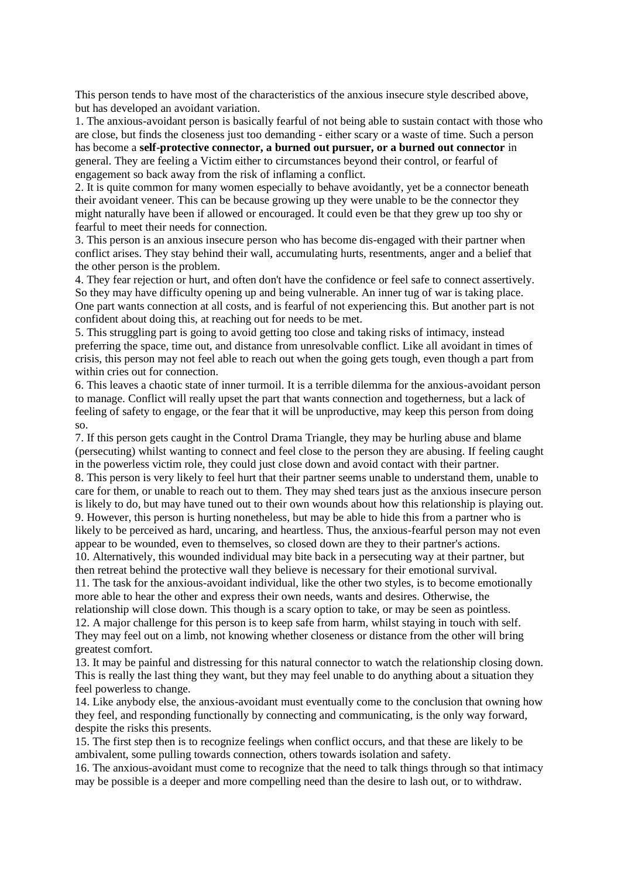This person tends to have most of the characteristics of the anxious insecure style described above, but has developed an avoidant variation.

1. The anxious-avoidant person is basically fearful of not being able to sustain contact with those who are close, but finds the closeness just too demanding - either scary or a waste of time. Such a person has become a **self-protective connector, a burned out pursuer, or a burned out connector** in general. They are feeling a Victim either to circumstances beyond their control, or fearful of engagement so back away from the risk of inflaming a conflict.

2. It is quite common for many women especially to behave avoidantly, yet be a connector beneath their avoidant veneer. This can be because growing up they were unable to be the connector they might naturally have been if allowed or encouraged. It could even be that they grew up too shy or fearful to meet their needs for connection.

3. This person is an anxious insecure person who has become dis-engaged with their partner when conflict arises. They stay behind their wall, accumulating hurts, resentments, anger and a belief that the other person is the problem.

4. They fear rejection or hurt, and often don't have the confidence or feel safe to connect assertively. So they may have difficulty opening up and being vulnerable. An inner tug of war is taking place. One part wants connection at all costs, and is fearful of not experiencing this. But another part is not confident about doing this, at reaching out for needs to be met.

5. This struggling part is going to avoid getting too close and taking risks of intimacy, instead preferring the space, time out, and distance from unresolvable conflict. Like all avoidant in times of crisis, this person may not feel able to reach out when the going gets tough, even though a part from within cries out for connection.

6. This leaves a chaotic state of inner turmoil. It is a terrible dilemma for the anxious-avoidant person to manage. Conflict will really upset the part that wants connection and togetherness, but a lack of feeling of safety to engage, or the fear that it will be unproductive, may keep this person from doing so.

7. If this person gets caught in the Control Drama Triangle, they may be hurling abuse and blame (persecuting) whilst wanting to connect and feel close to the person they are abusing. If feeling caught in the powerless victim role, they could just close down and avoid contact with their partner.

8. This person is very likely to feel hurt that their partner seems unable to understand them, unable to care for them, or unable to reach out to them. They may shed tears just as the anxious insecure person is likely to do, but may have tuned out to their own wounds about how this relationship is playing out. 9. However, this person is hurting nonetheless, but may be able to hide this from a partner who is likely to be perceived as hard, uncaring, and heartless. Thus, the anxious-fearful person may not even appear to be wounded, even to themselves, so closed down are they to their partner's actions.

10. Alternatively, this wounded individual may bite back in a persecuting way at their partner, but then retreat behind the protective wall they believe is necessary for their emotional survival.

11. The task for the anxious-avoidant individual, like the other two styles, is to become emotionally more able to hear the other and express their own needs, wants and desires. Otherwise, the

relationship will close down. This though is a scary option to take, or may be seen as pointless. 12. A major challenge for this person is to keep safe from harm, whilst staying in touch with self. They may feel out on a limb, not knowing whether closeness or distance from the other will bring greatest comfort.

13. It may be painful and distressing for this natural connector to watch the relationship closing down. This is really the last thing they want, but they may feel unable to do anything about a situation they feel powerless to change.

14. Like anybody else, the anxious-avoidant must eventually come to the conclusion that owning how they feel, and responding functionally by connecting and communicating, is the only way forward, despite the risks this presents.

15. The first step then is to recognize feelings when conflict occurs, and that these are likely to be ambivalent, some pulling towards connection, others towards isolation and safety.

16. The anxious-avoidant must come to recognize that the need to talk things through so that intimacy may be possible is a deeper and more compelling need than the desire to lash out, or to withdraw.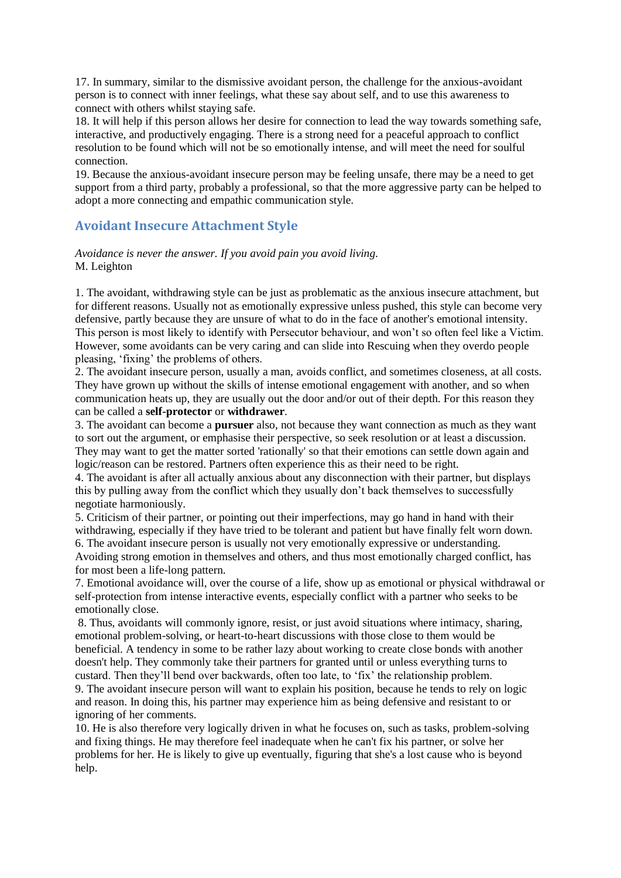17. In summary, similar to the dismissive avoidant person, the challenge for the anxious-avoidant person is to connect with inner feelings, what these say about self, and to use this awareness to connect with others whilst staying safe.

18. It will help if this person allows her desire for connection to lead the way towards something safe, interactive, and productively engaging. There is a strong need for a peaceful approach to conflict resolution to be found which will not be so emotionally intense, and will meet the need for soulful connection.

19. Because the anxious-avoidant insecure person may be feeling unsafe, there may be a need to get support from a third party, probably a professional, so that the more aggressive party can be helped to adopt a more connecting and empathic communication style.

## **Avoidant Insecure Attachment Style**

### *Avoidance is never the answer. If you avoid pain you avoid living.* M. Leighton

1. The avoidant, withdrawing style can be just as problematic as the anxious insecure attachment, but for different reasons. Usually not as emotionally expressive unless pushed, this style can become very defensive, partly because they are unsure of what to do in the face of another's emotional intensity. This person is most likely to identify with Persecutor behaviour, and won't so often feel like a Victim. However, some avoidants can be very caring and can slide into Rescuing when they overdo people pleasing, 'fixing' the problems of others.

2. The avoidant insecure person, usually a man, avoids conflict, and sometimes closeness, at all costs. They have grown up without the skills of intense emotional engagement with another, and so when communication heats up, they are usually out the door and/or out of their depth. For this reason they can be called a **self-protector** or **withdrawer**.

3. The avoidant can become a **pursuer** also, not because they want connection as much as they want to sort out the argument, or emphasise their perspective, so seek resolution or at least a discussion. They may want to get the matter sorted 'rationally' so that their emotions can settle down again and logic/reason can be restored. Partners often experience this as their need to be right.

4. The avoidant is after all actually anxious about any disconnection with their partner, but displays this by pulling away from the conflict which they usually don't back themselves to successfully negotiate harmoniously.

5. Criticism of their partner, or pointing out their imperfections, may go hand in hand with their withdrawing, especially if they have tried to be tolerant and patient but have finally felt worn down. 6. The avoidant insecure person is usually not very emotionally expressive or understanding.

Avoiding strong emotion in themselves and others, and thus most emotionally charged conflict, has for most been a life-long pattern.

7. Emotional avoidance will, over the course of a life, show up as emotional or physical withdrawal or self-protection from intense interactive events, especially conflict with a partner who seeks to be emotionally close.

8. Thus, avoidants will commonly ignore, resist, or just avoid situations where intimacy, sharing, emotional problem-solving, or heart-to-heart discussions with those close to them would be beneficial. A tendency in some to be rather lazy about working to create close bonds with another doesn't help. They commonly take their partners for granted until or unless everything turns to custard. Then they'll bend over backwards, often too late, to 'fix' the relationship problem. 9. The avoidant insecure person will want to explain his position, because he tends to rely on logic and reason. In doing this, his partner may experience him as being defensive and resistant to or ignoring of her comments.

10. He is also therefore very logically driven in what he focuses on, such as tasks, problem-solving and fixing things. He may therefore feel inadequate when he can't fix his partner, or solve her problems for her. He is likely to give up eventually, figuring that she's a lost cause who is beyond help.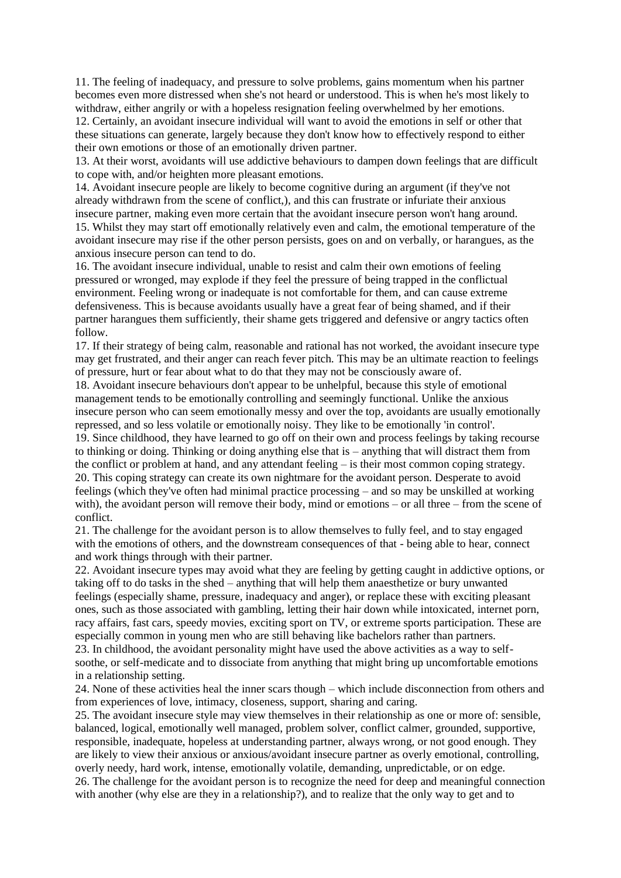11. The feeling of inadequacy, and pressure to solve problems, gains momentum when his partner becomes even more distressed when she's not heard or understood. This is when he's most likely to withdraw, either angrily or with a hopeless resignation feeling overwhelmed by her emotions. 12. Certainly, an avoidant insecure individual will want to avoid the emotions in self or other that

these situations can generate, largely because they don't know how to effectively respond to either their own emotions or those of an emotionally driven partner.

13. At their worst, avoidants will use addictive behaviours to dampen down feelings that are difficult to cope with, and/or heighten more pleasant emotions.

14. Avoidant insecure people are likely to become cognitive during an argument (if they've not already withdrawn from the scene of conflict,), and this can frustrate or infuriate their anxious insecure partner, making even more certain that the avoidant insecure person won't hang around.

15. Whilst they may start off emotionally relatively even and calm, the emotional temperature of the avoidant insecure may rise if the other person persists, goes on and on verbally, or harangues, as the anxious insecure person can tend to do.

16. The avoidant insecure individual, unable to resist and calm their own emotions of feeling pressured or wronged, may explode if they feel the pressure of being trapped in the conflictual environment. Feeling wrong or inadequate is not comfortable for them, and can cause extreme defensiveness. This is because avoidants usually have a great fear of being shamed, and if their partner harangues them sufficiently, their shame gets triggered and defensive or angry tactics often follow.

17. If their strategy of being calm, reasonable and rational has not worked, the avoidant insecure type may get frustrated, and their anger can reach fever pitch. This may be an ultimate reaction to feelings of pressure, hurt or fear about what to do that they may not be consciously aware of.

18. Avoidant insecure behaviours don't appear to be unhelpful, because this style of emotional management tends to be emotionally controlling and seemingly functional. Unlike the anxious insecure person who can seem emotionally messy and over the top, avoidants are usually emotionally repressed, and so less volatile or emotionally noisy. They like to be emotionally 'in control'.

19. Since childhood, they have learned to go off on their own and process feelings by taking recourse to thinking or doing. Thinking or doing anything else that is – anything that will distract them from the conflict or problem at hand, and any attendant feeling – is their most common coping strategy. 20. This coping strategy can create its own nightmare for the avoidant person. Desperate to avoid feelings (which they've often had minimal practice processing – and so may be unskilled at working with), the avoidant person will remove their body, mind or emotions – or all three – from the scene of conflict.

21. The challenge for the avoidant person is to allow themselves to fully feel, and to stay engaged with the emotions of others, and the downstream consequences of that - being able to hear, connect and work things through with their partner.

22. Avoidant insecure types may avoid what they are feeling by getting caught in addictive options, or taking off to do tasks in the shed – anything that will help them anaesthetize or bury unwanted feelings (especially shame, pressure, inadequacy and anger), or replace these with exciting pleasant ones, such as those associated with gambling, letting their hair down while intoxicated, internet porn, racy affairs, fast cars, speedy movies, exciting sport on TV, or extreme sports participation. These are especially common in young men who are still behaving like bachelors rather than partners.

23. In childhood, the avoidant personality might have used the above activities as a way to selfsoothe, or self-medicate and to dissociate from anything that might bring up uncomfortable emotions in a relationship setting.

24. None of these activities heal the inner scars though – which include disconnection from others and from experiences of love, intimacy, closeness, support, sharing and caring.

25. The avoidant insecure style may view themselves in their relationship as one or more of: sensible, balanced, logical, emotionally well managed, problem solver, conflict calmer, grounded, supportive, responsible, inadequate, hopeless at understanding partner, always wrong, or not good enough. They are likely to view their anxious or anxious/avoidant insecure partner as overly emotional, controlling, overly needy, hard work, intense, emotionally volatile, demanding, unpredictable, or on edge. 26. The challenge for the avoidant person is to recognize the need for deep and meaningful connection with another (why else are they in a relationship?), and to realize that the only way to get and to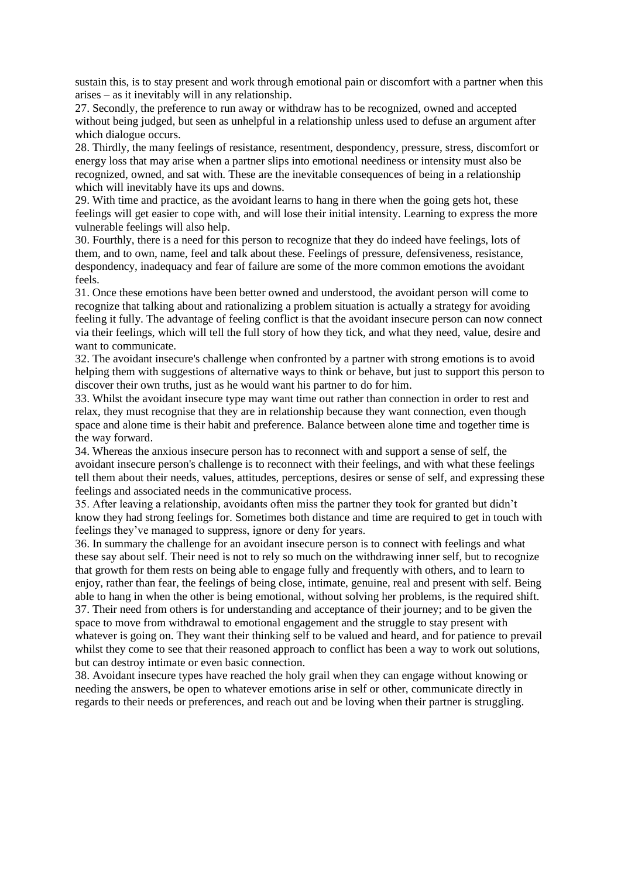sustain this, is to stay present and work through emotional pain or discomfort with a partner when this arises – as it inevitably will in any relationship.

27. Secondly, the preference to run away or withdraw has to be recognized, owned and accepted without being judged, but seen as unhelpful in a relationship unless used to defuse an argument after which dialogue occurs.

28. Thirdly, the many feelings of resistance, resentment, despondency, pressure, stress, discomfort or energy loss that may arise when a partner slips into emotional neediness or intensity must also be recognized, owned, and sat with. These are the inevitable consequences of being in a relationship which will inevitably have its ups and downs.

29. With time and practice, as the avoidant learns to hang in there when the going gets hot, these feelings will get easier to cope with, and will lose their initial intensity. Learning to express the more vulnerable feelings will also help.

30. Fourthly, there is a need for this person to recognize that they do indeed have feelings, lots of them, and to own, name, feel and talk about these. Feelings of pressure, defensiveness, resistance, despondency, inadequacy and fear of failure are some of the more common emotions the avoidant feels.

31. Once these emotions have been better owned and understood, the avoidant person will come to recognize that talking about and rationalizing a problem situation is actually a strategy for avoiding feeling it fully. The advantage of feeling conflict is that the avoidant insecure person can now connect via their feelings, which will tell the full story of how they tick, and what they need, value, desire and want to communicate.

32. The avoidant insecure's challenge when confronted by a partner with strong emotions is to avoid helping them with suggestions of alternative ways to think or behave, but just to support this person to discover their own truths, just as he would want his partner to do for him.

33. Whilst the avoidant insecure type may want time out rather than connection in order to rest and relax, they must recognise that they are in relationship because they want connection, even though space and alone time is their habit and preference. Balance between alone time and together time is the way forward.

34. Whereas the anxious insecure person has to reconnect with and support a sense of self, the avoidant insecure person's challenge is to reconnect with their feelings, and with what these feelings tell them about their needs, values, attitudes, perceptions, desires or sense of self, and expressing these feelings and associated needs in the communicative process.

35. After leaving a relationship, avoidants often miss the partner they took for granted but didn't know they had strong feelings for. Sometimes both distance and time are required to get in touch with feelings they've managed to suppress, ignore or deny for years.

36. In summary the challenge for an avoidant insecure person is to connect with feelings and what these say about self. Their need is not to rely so much on the withdrawing inner self, but to recognize that growth for them rests on being able to engage fully and frequently with others, and to learn to enjoy, rather than fear, the feelings of being close, intimate, genuine, real and present with self. Being able to hang in when the other is being emotional, without solving her problems, is the required shift. 37. Their need from others is for understanding and acceptance of their journey; and to be given the space to move from withdrawal to emotional engagement and the struggle to stay present with whatever is going on. They want their thinking self to be valued and heard, and for patience to prevail whilst they come to see that their reasoned approach to conflict has been a way to work out solutions, but can destroy intimate or even basic connection.

38. Avoidant insecure types have reached the holy grail when they can engage without knowing or needing the answers, be open to whatever emotions arise in self or other, communicate directly in regards to their needs or preferences, and reach out and be loving when their partner is struggling.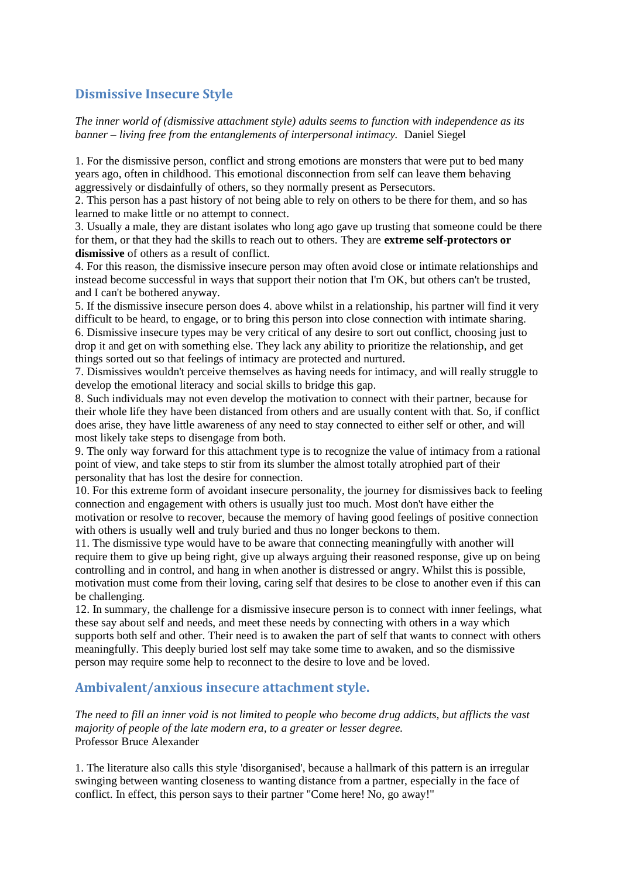# **Dismissive Insecure Style**

*The inner world of (dismissive attachment style) adults seems to function with independence as its banner – living free from the entanglements of interpersonal intimacy.* Daniel Siegel

1. For the dismissive person, conflict and strong emotions are monsters that were put to bed many years ago, often in childhood. This emotional disconnection from self can leave them behaving aggressively or disdainfully of others, so they normally present as Persecutors.

2. This person has a past history of not being able to rely on others to be there for them, and so has learned to make little or no attempt to connect.

3. Usually a male, they are distant isolates who long ago gave up trusting that someone could be there for them, or that they had the skills to reach out to others. They are **extreme self-protectors or dismissive** of others as a result of conflict.

4. For this reason, the dismissive insecure person may often avoid close or intimate relationships and instead become successful in ways that support their notion that I'm OK, but others can't be trusted, and I can't be bothered anyway.

5. If the dismissive insecure person does 4. above whilst in a relationship, his partner will find it very difficult to be heard, to engage, or to bring this person into close connection with intimate sharing. 6. Dismissive insecure types may be very critical of any desire to sort out conflict, choosing just to drop it and get on with something else. They lack any ability to prioritize the relationship, and get things sorted out so that feelings of intimacy are protected and nurtured.

7. Dismissives wouldn't perceive themselves as having needs for intimacy, and will really struggle to develop the emotional literacy and social skills to bridge this gap.

8. Such individuals may not even develop the motivation to connect with their partner, because for their whole life they have been distanced from others and are usually content with that. So, if conflict does arise, they have little awareness of any need to stay connected to either self or other, and will most likely take steps to disengage from both.

9. The only way forward for this attachment type is to recognize the value of intimacy from a rational point of view, and take steps to stir from its slumber the almost totally atrophied part of their personality that has lost the desire for connection.

10. For this extreme form of avoidant insecure personality, the journey for dismissives back to feeling connection and engagement with others is usually just too much. Most don't have either the motivation or resolve to recover, because the memory of having good feelings of positive connection with others is usually well and truly buried and thus no longer beckons to them.

11. The dismissive type would have to be aware that connecting meaningfully with another will require them to give up being right, give up always arguing their reasoned response, give up on being controlling and in control, and hang in when another is distressed or angry. Whilst this is possible, motivation must come from their loving, caring self that desires to be close to another even if this can be challenging.

12. In summary, the challenge for a dismissive insecure person is to connect with inner feelings, what these say about self and needs, and meet these needs by connecting with others in a way which supports both self and other. Their need is to awaken the part of self that wants to connect with others meaningfully. This deeply buried lost self may take some time to awaken, and so the dismissive person may require some help to reconnect to the desire to love and be loved.

## **Ambivalent/anxious insecure attachment style.**

*The need to fill an inner void is not limited to people who become drug addicts, but afflicts the vast majority of people of the late modern era, to a greater or lesser degree.*  Professor Bruce Alexander

1. The literature also calls this style 'disorganised', because a hallmark of this pattern is an irregular swinging between wanting closeness to wanting distance from a partner, especially in the face of conflict. In effect, this person says to their partner "Come here! No, go away!"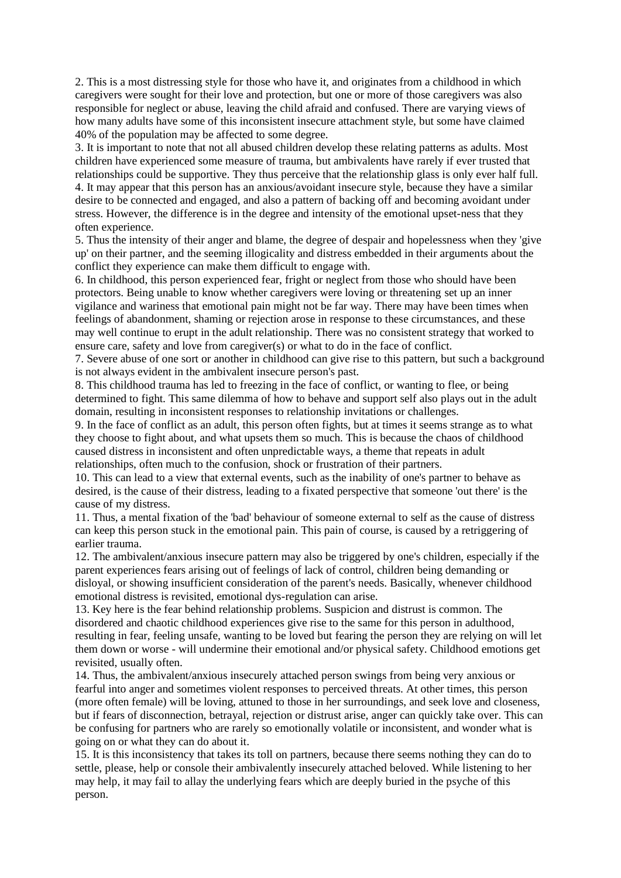2. This is a most distressing style for those who have it, and originates from a childhood in which caregivers were sought for their love and protection, but one or more of those caregivers was also responsible for neglect or abuse, leaving the child afraid and confused. There are varying views of how many adults have some of this inconsistent insecure attachment style, but some have claimed 40% of the population may be affected to some degree.

3. It is important to note that not all abused children develop these relating patterns as adults. Most children have experienced some measure of trauma, but ambivalents have rarely if ever trusted that relationships could be supportive. They thus perceive that the relationship glass is only ever half full. 4. It may appear that this person has an anxious/avoidant insecure style, because they have a similar desire to be connected and engaged, and also a pattern of backing off and becoming avoidant under stress. However, the difference is in the degree and intensity of the emotional upset-ness that they often experience.

5. Thus the intensity of their anger and blame, the degree of despair and hopelessness when they 'give up' on their partner, and the seeming illogicality and distress embedded in their arguments about the conflict they experience can make them difficult to engage with.

6. In childhood, this person experienced fear, fright or neglect from those who should have been protectors. Being unable to know whether caregivers were loving or threatening set up an inner vigilance and wariness that emotional pain might not be far way. There may have been times when feelings of abandonment, shaming or rejection arose in response to these circumstances, and these may well continue to erupt in the adult relationship. There was no consistent strategy that worked to ensure care, safety and love from caregiver(s) or what to do in the face of conflict.

7. Severe abuse of one sort or another in childhood can give rise to this pattern, but such a background is not always evident in the ambivalent insecure person's past.

8. This childhood trauma has led to freezing in the face of conflict, or wanting to flee, or being determined to fight. This same dilemma of how to behave and support self also plays out in the adult domain, resulting in inconsistent responses to relationship invitations or challenges.

9. In the face of conflict as an adult, this person often fights, but at times it seems strange as to what they choose to fight about, and what upsets them so much. This is because the chaos of childhood caused distress in inconsistent and often unpredictable ways, a theme that repeats in adult relationships, often much to the confusion, shock or frustration of their partners.

10. This can lead to a view that external events, such as the inability of one's partner to behave as desired, is the cause of their distress, leading to a fixated perspective that someone 'out there' is the cause of my distress.

11. Thus, a mental fixation of the 'bad' behaviour of someone external to self as the cause of distress can keep this person stuck in the emotional pain. This pain of course, is caused by a retriggering of earlier trauma.

12. The ambivalent/anxious insecure pattern may also be triggered by one's children, especially if the parent experiences fears arising out of feelings of lack of control, children being demanding or disloyal, or showing insufficient consideration of the parent's needs. Basically, whenever childhood emotional distress is revisited, emotional dys-regulation can arise.

13. Key here is the fear behind relationship problems. Suspicion and distrust is common. The disordered and chaotic childhood experiences give rise to the same for this person in adulthood, resulting in fear, feeling unsafe, wanting to be loved but fearing the person they are relying on will let them down or worse - will undermine their emotional and/or physical safety. Childhood emotions get revisited, usually often.

14. Thus, the ambivalent/anxious insecurely attached person swings from being very anxious or fearful into anger and sometimes violent responses to perceived threats. At other times, this person (more often female) will be loving, attuned to those in her surroundings, and seek love and closeness, but if fears of disconnection, betrayal, rejection or distrust arise, anger can quickly take over. This can be confusing for partners who are rarely so emotionally volatile or inconsistent, and wonder what is going on or what they can do about it.

15. It is this inconsistency that takes its toll on partners, because there seems nothing they can do to settle, please, help or console their ambivalently insecurely attached beloved. While listening to her may help, it may fail to allay the underlying fears which are deeply buried in the psyche of this person.